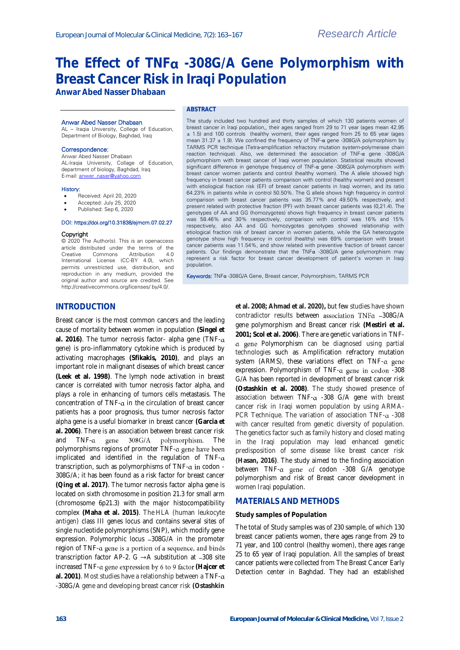# **The Effect of TNF -308G/A Gene Polymorphism with Breast Cancer Risk in Iraqi Population**

**Anwar Abed Nasser Dhabaan**

#### Anwar Abed Nasser Dhabaan

AL – Iraqia University, College of Education, Department of Biology, Baghdad, Iraq

#### Correspondence:

Anwar Abed Nasser Dhabaan AL-Iraqia University, Collage of Education, department of biology, Baghdad, Iraq E-mail[: anwer\\_naser@yahoo.com](mailto:anwer_naser@yahoo.com)

#### History:

- Received: April 20, 2020
- Accepted: July 25, 2020
- Published: Sep 6, 2020

#### DOI: https://doi.org/10.31838/ejmcm.07.02.27

#### **Copyright**

© 2020 The Author(s). This is an openaccess article distributed under the terms of the<br>Creative Commons Attribution 4.0 Creative Commons Attribution 4.0 International License (CC-BY 4.0), which permits unrestricted use, distribution, and reproduction in any medium, provided the original author and source are credited. See http://creativecommons.org/licenses/ by/4.0/.

## **ABSTRACT**

The study included two hundred and thirty samples of which 130 patients women of breast cancer in Iraqi population,, their ages ranged from 29 to 71 year (ages mean 42.95 ± 1.5) and 100 controls (healthy women), their ages ranged from 25 to 65 year (ages mean 31.37 ± 1.9). We confined the frequency of TNF-α gene -308G/A polymorphism by TARMS PCR technique (Tetra-amplification refractory mutation system-polymerase chain reaction technique). Also, we determined the association of TNF-α gene -308G/A polymorphism with breast cancer of Iraqi women population. Statistical results showed significant difference in genotype frequency of TNF-α gene -308G/A polymorphism with breast cancer women patients and control (healthy women). The A allele showed high frequency in breast cancer patients comparison with control (healthy women) and present with etiological fraction risk (EF) of breast cancer patients in Iraqi women, and its ratio 64.23% in patients while in control 50.50%. The G allele shows high frequency in control comparison with breast cancer patients was 35.77% and 49.50% respectively, and present related with protective fraction (PF) with breast cancer patients was (0,21.4). The genotypes of AA and GG (homozygotes) shows high frequency in breast cancer patients was 58.46% and 30% respectively, comparison with control was 16% and 15% respectively, also AA and GG homozygotes genotypes showed relationship with etiological fraction risk of breast cancer in women patients, while the GA heterozygote genotype show high frequency in control (healthy) was 69% comparison with breast cancer patients was 11.54%, and show related with preventive fraction of breast cancer patients. Our findings demonstrate that the  $TNF\alpha$  -308G/A gene polymorphism may represent a risk factor for breast cancer development of patient's women in Iraqi population.

Keywords: TNFα -308G/A Gene, Breast cancer, Polymorphism, TARMS PCR

# **INTRODUCTION**

Breast cancer is the most common cancers and the leading cause of mortality between women in population **(Singel et**  al. 2016). The tumor necrosis factor- alpha gene (TNF- $\alpha$ ) gene) is pro-inflammatory cytokine which is produced by activating macrophages **(Sfikakis, 2010)**, and plays an important role in malignant diseases of which breast cancer **(Leek et al. 1998)**. The lymph node activation in breast cancer is correlated with tumor necrosis factor alpha, and plays a role in enhancing of tumors cells metastasis. The concentration of  $TNF-\alpha$  in the circulation of breast cancer patients has a poor prognosis, thus tumor necrosis factor alpha gene is a useful biomarker in breast cancer **(Garcia et al. 2006)**. There is an association between breast cancer risk and  $TNF-\alpha$  gene  $308G/A$  polymorphism. The polymorphisms regions of promoter TNF-a gene have been implicated and identified in the regulation of  $TNF-\alpha$ transcription, such as polymorphisms of TNF- $\alpha$  in codon -308G/A; it has been found as a risk factor for breast cancer **(Qing et al. 2017)**. The tumor necrosis factor alpha gene is located on sixth chromosome in position 21.3 for small arm (chromosome 6p21.3) with the major histocompatibility complex **(Maha et al. 2015)**. The HLA (human leukocyte antigen) class III genes locus and contains several sites of single nucleotide polymorphisms (SNP), which modify gene expression. Polymorphic locus -308G/A in the promoter region of  $TNF$ - $\alpha$  gene is a portion of a sequence, and binds transcription factor AP-2. G  $\rightarrow$  A substitution at -308 site increased TNF-a gene expression by 6 to 9 factor (Hajcer et **al. 2001)**. Most studies have a relationship between a TNF- -308G/A gene and developing breast cancer risk **(Ostashkin** 

**et al. 2008; Ahmad et al. 2020),** but few studies have shown contradictor results between association TNFa -308G/A gene polymorphism and Breast cancer risk **(Mestiri et al. 2001; Scol et al. 2006)**. There are genetic variations in TNF- $\alpha$  gene Polymorphism can be diagnosed using partial technologies such as Amplification refractory mutation system (ARMS), these variations effect on  $TNF-\alpha$  gene expression. Polymorphism of  $TNF-a$  gene in codon -308 G/A has been reported in development of breast cancer risk **(Ostashkin et al. 2008)**. The study showed presence of association between  $TNF-\alpha$  -308 G/A gene with breast cancer risk in Iraqi women population by using ARMA-PCR Technique. The variation of association TNF- $\alpha$  -308 with cancer resulted from genetic diversity of population. The genetics factor such as family history and closed mating in the Iraqi population may lead enhanced genetic predisposition of some disease like breast cancer risk **(Hasan, 2016)**. The study aimed to the finding association between  $TNF-a$  gene of codon -308 G/A genotype polymorphism and risk of Breast cancer development in women Iraqi population.

## **MATERIALS AND METHODS**

#### **Study samples of Population**

The total of Study samples was of 230 sample, of which 130 breast cancer patients women, there ages range from 29 to 71 year, and 100 control (healthy women), there ages range 25 to 65 year of Iraqi population. All the samples of breast cancer patients were collected from The Breast Cancer Early Detection center in Baghdad. They had an established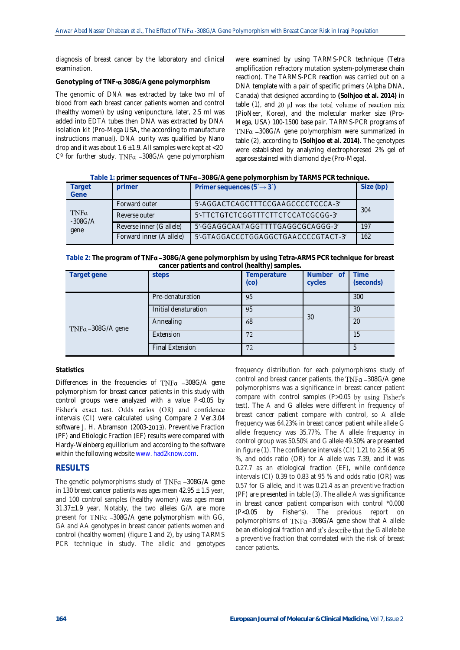diagnosis of breast cancer by the laboratory and clinical examination.

## **Genotyping of TNF- 308G/A gene polymorphism**

The genomic of DNA was extracted by take two ml of blood from each breast cancer patients women and control (healthy women) by using venipuncture, later, 2.5 ml was added into EDTA tubes then DNA was extracted by DNA isolation kit (Pro-Mega USA, the according to manufacture instructions manual). DNA purity was qualified by Nano drop and it was about 1.6  $\pm$ 1.9. All samples were kept at <20  $C<sup>o</sup>$  for further study. TNF $\alpha$  -308G/A gene polymorphism

were examined by using TARMS-PCR technique (Tetra amplification refractory mutation system-polymerase chain reaction). The TARMS-PCR reaction was carried out on a DNA template with a pair of specific primers (Alpha DNA, Canada) that designed according to **(Solhjoo et al. 2014)** in table  $(1)$ , and  $20 \mu l$  was the total volume of reaction mix (PioNeer, Korea), and the molecular marker size (Pro-Mega, USA) 100-1500 base pair. TARMS-PCR programs of  $TNFa -308G/A$  gene polymorphism were summarized in table (2), according to **(Solhjoo et al. 2014)**. The genotypes were established by analyzing electrophoresed 2% gel of agarose stained with diamond dye (Pro-Mega).

Table 1: primer sequences of **TNFa** -308G/A gene polymorphism by TARMS PCR technique.

| Target<br>Gene                   | primer                   | Primer sequences $(5 \rightarrow 3')$ | Size (bp) |  |
|----------------------------------|--------------------------|---------------------------------------|-----------|--|
| $TNF\alpha$<br>$-308G/A$<br>gene | Forward outer            | 5'-AGGACTCAGCTTTCCGAAGCCCCTCCCA-3'    | 304       |  |
|                                  | Reverse outer            | 5'-TTCTGTCTCGGTTTCTTCTCCATCGCGG-3'    |           |  |
|                                  | Reverse inner (G allele) | 5'-GGAGGCAATAGGTTTTGAGGCGCAGGG-3'     | 197       |  |
|                                  | Forward inner (A allele) | 5'-GTAGGACCCTGGAGGCTGAACCCCGTACT-3'   | 162       |  |

Table 2: The program of TNFa -308G/A gene polymorphism by using Tetra-ARMS PCR technique for breast **cancer patients and control (healthy) samples.**

| Target gene      | steps                  | $\overline{\phantom{a}}$<br>Temperature<br>$1$ | Number of<br>cycles | Time<br>(seconds) |
|------------------|------------------------|------------------------------------------------|---------------------|-------------------|
|                  | Pre-denaturation       | 95                                             |                     | 300               |
|                  | Initial denaturation   | 95                                             |                     | 30                |
| TNFa-308G/A gene | Annealing              | 68                                             | 30                  | 20                |
|                  | Extension              | 72                                             |                     | 15                |
|                  | <b>Final Extension</b> | 72                                             |                     | 5                 |

### **Statistics**

Differences in the frequencies of  $TNF\alpha -308G/A$  gene polymorphism for breast cancer patients in this study with control groups were analyzed with a value P<0.05 by Fisher's exact test. Odds ratios (OR) and confidence intervals (CI) were calculated using Compare 2 Ver.3.04 software J. H. Abramson (2003-2013). Preventive Fraction (PF) and Etiologic Fraction (EF) results were compared with Hardy-Weinberg equilibrium and according to the software within the following website [www. had2know.com.](http://www.had2know.com/)

## **RESULTS**

The genetic polymorphisms study of  $TNF\alpha -308G/A$  gene in 130 breast cancer patients was ages mean  $42.95 \pm 1.5$  year, and 100 control samples (healthy women) was ages mean  $31.37\pm1.9$  year. Notably, the two alleles G/A are more present for  $TNF\alpha$  -308G/A gene polymorphism with GG, GA and AA genotypes in breast cancer patients women and control (healthy women) (figure 1 and 2), by using TARMS PCR technique in study. The allelic and genotypes frequency distribution for each polymorphisms study of control and breast cancer patients, the  $TNF\alpha - 308G/A$  gene polymorphisms was a significance in breast cancer patient compare with control samples (P>0.05 by using Fisher's test). The A and G alleles were different in frequency of breast cancer patient compare with control, so A allele frequency was 64.23% in breast cancer patient while allele G allele frequency was 35.77%. The A allele frequency in control group was 50.50% and G allele 49.50% are presented in figure (1). The confidence intervals (CI) 1.21 to 2.56 at 95 %, and odds ratio (OR) for A allele was 7.39, and it was 0.27.7 as an etiological fraction (EF), while confidence intervals (CI) 0.39 to 0.83 at 95 % and odds ratio (OR) was 0.57 for G allele, and it was 0.21.4 as an preventive fraction (PF) are presented in table (3). The allele A was significance in breast cancer patient comparison with control \*0.000 (P<0.05 by Fisher's). The previous report on polymorphisms of  $TNF\alpha$  -308G/A gene show that A allele be an etiological fraction and it's describe that the G allele be a preventive fraction that correlated with the risk of breast cancer patients.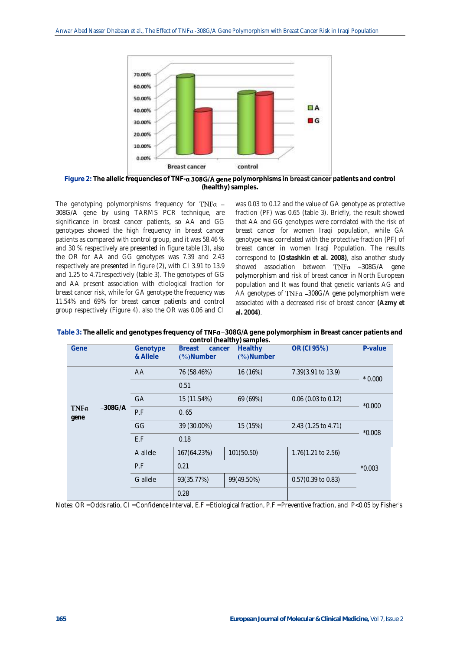

Figure 2: The allelic frequencies of TNF-**a 308G/A gene** polymorphisms in breast cancer patients and control **(healthy) samples.**

The genotyping polymorphisms frequency for  $TNFa -$ 308G/A gene by using TARMS PCR technique, are significance in breast cancer patients, so AA and GG genotypes showed the high frequency in breast cancer patients as compared with control group, and it was 58.46 % and 30 % respectively are presented in figure table (3), also the OR for AA and GG genotypes was 7.39 and 2.43 respectively are presented in figure (2), with CI 3.91 to 13.9 and 1.25 to 4.71respectively (table 3). The genotypes of GG and AA present association with etiological fraction for breast cancer risk, while for GA genotype the frequency was 11.54% and 69% for breast cancer patients and control group respectively (Figure 4), also the OR was 0.06 and CI was 0.03 to 0.12 and the value of GA genotype as protective fraction (PF) was 0.65 (table 3). Briefly, the result showed that AA and GG genotypes were correlated with the risk of breast cancer for women Iraqi population, while GA genotype was correlated with the protective fraction (PF) of breast cancer in women Iraqi Population. The results correspond to **(Ostashkin et al. 2008)**, also another study showed association between  $TNFa -308G/A$  gene polymorphism and risk of breast cancer in North European population and It was found that genetic variants AG and AA genotypes of  $TNF\alpha -308G/A$  gene polymorphism were associated with a decreased risk of breast cancer **(Azmy et al. 2004)**.

| Table 3: The allelic and genotypes frequency of TNFa -308G/A gene polymorphism in Breast cancer patients and |  |  |
|--------------------------------------------------------------------------------------------------------------|--|--|
|                                                                                                              |  |  |

|              |           |                      |                                      | control (healthy) samples. |                       |          |
|--------------|-----------|----------------------|--------------------------------------|----------------------------|-----------------------|----------|
| Gene         |           | Genotype<br>& Allele | <b>Breast</b><br>cancer<br>(%)Number | Healthy<br>(%)Number       | OR (CI 95%)           | P-value  |
| TNFa<br>gene | $-308G/A$ | AA                   | 76 (58.46%)                          | 16 (16%)                   | 7.39(3.91 to 13.9)    | $*0.000$ |
|              |           |                      | 0.51                                 |                            |                       |          |
|              |           | GA                   | 15 (11.54%)                          | 69 (69%)                   | $0.06$ (0.03 to 0.12) | $*0.000$ |
|              |           | P.F                  | 0.65                                 |                            |                       |          |
|              |           | GG                   | 39 (30.00%)                          | 15 (15%)                   | 2.43 (1.25 to 4.71)   | $*0.008$ |
|              |           | E.F                  | 0.18                                 |                            |                       |          |
|              |           | A allele             | 167(64.23%)                          | 101(50.50)                 | 1.76(1.21 to 2.56)    |          |
|              |           | P.F                  | 0.21                                 |                            |                       | $*0.003$ |
|              |           | G allele             | 93(35.77%)                           | 99(49.50%)                 | 0.57(0.39 to 0.83)    |          |
|              |           |                      | 0.28                                 |                            |                       |          |

Notes: OR = Odds ratio, CI = Confidence Interval, E.F = Etiological fraction, P.F = Preventive fraction, and P<0.05 by Fisher's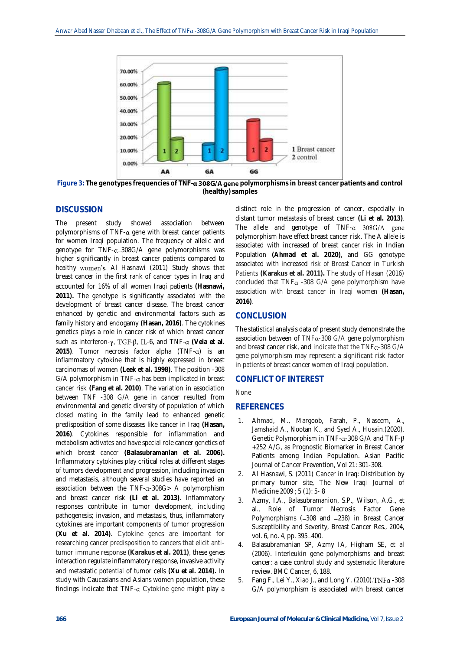

Figure 3: The genotypes frequencies of TNF-**a 308G/A gene** polymorphisms in breast cancer patients and control **(healthy) samples**

# **DISCUSSION**

The present study showed association between polymorphisms of  $TNF-\alpha$  gene with breast cancer patients for women Iraqi population. The frequency of allelic and genotype for  $TNF-a-308G/A$  gene polymorphisms was higher significantly in breast cancer patients compared to healthy women's. Al Hasnawi (2011) Study shows that breast cancer in the first rank of cancer types in Iraq and accounted for 16% of all women Iraqi patients **(Hasnawi, 2011).** The genotype is significantly associated with the development of breast cancer disease. The breast cancer enhanced by genetic and environmental factors such as family history and endogamy **(Hasan, 2016)**. The cytokines genetics plays a role in cancer risk of which breast cancer such as interferon- $\gamma$ , TGF- $\beta$ , IL-6, and TNF- $\alpha$  (Vela et al. 2015). Tumor necrosis factor alpha  $(TNF - \alpha)$  is an inflammatory cytokine that is highly expressed in breast carcinomas of women **(Leek et al. 1998)**. The position -308  $G/A$  polymorphism in TNF- $\alpha$  has been implicated in breast cancer risk **(Fang et al. 2010)**. The variation in association between TNF -308 G/A gene in cancer resulted from environmental and genetic diversity of population of which closed mating in the family lead to enhanced genetic predisposition of some diseases like cancer in Iraq **(Hasan, 2016)**. Cytokines responsible for inflammation and metabolism activates and have special role cancer genetics of which breast cancer **(Balasubramanian et al. 2006).** Inflammatory cytokines play critical roles at different stages of tumors development and progression, including invasion and metastasis, although several studies have reported an association between the  $TNF-a-308G>$  A polymorphism and breast cancer risk **(Li et al. 2013)**. Inflammatory responses contribute in tumor development, including pathogenesis; invasion, and metastasis, thus, inflammatory cytokines are important components of tumor progression **(Xu et al. 2014)**. Cytokine genes are important for researching cancer predisposition to cancers that elicit antitumor immune response **(Karakus et al. 2011)**, these genes interaction regulate inflammatory response, invasive activity and metastatic potential of tumor cells **(Xu et al. 2014).** In study with Caucasians and Asians women population, these findings indicate that  $TNF-\alpha$  Cytokine gene might play a distinct role in the progression of cancer, especially in distant tumor metastasis of breast cancer **(Li et al. 2013)**. The allele and genotype of  $TNF-a$  308 $G/A$  gene polymorphism have effect breast cancer risk. The A allele is associated with increased of breast cancer risk in Indian Population **(Ahmad et al. 2020)**, and GG genotype associated with increased risk of Breast Cancer in Turkish Patients **(Karakus et al. 2011).** The study of Hasan (2016) concluded that  $TNF\alpha$  -308 G/A gene polymorphism have association with breast cancer in Iraqi women **(Hasan, 2016)**.

# **CONCLUSION**

The statistical analysis data of present study demonstrate the association between of  $TNF\alpha - 308$  G/A gene polymorphism and breast cancer risk, and indicate that the  $TNF\alpha$ -308 G/A gene polymorphism may represent a significant risk factor in patients of breast cancer women of Iraqi population.

# **CONFLICT OF INTEREST**

None

# **REFERENCES**

- 1. Ahmad, M., Margoob, Farah, P., Naseem, A., Jamshaid A., Nootan K., and Syed A., Husain.(2020). Genetic Polymorphism in TNF- $\alpha$ -308 G/A and TNF- $\beta$ +252 A/G, as Prognostic Biomarker in Breast Cancer Patients among Indian Population. Asian Pacific Journal of Cancer Prevention, Vol 21: 301-308.
- 2. Al Hasnawi, S. (2011) Cancer in Iraq: Distribution by primary tumor site, The New Iraqi Journal of Medicine 2009 ; 5 (1): 5- 8
- 3. Azmy, I.A., Balasubramanion, S.P., Wilson, A.G., et al., Role of Tumor Necrosis Factor Gene Polymorphisms (-308 and -238) in Breast Cancer Susceptibility and Severity, Breast Cancer Res., 2004, vol. 6, no. 4, pp. 395-400.
- 4. Balasubramanian SP, Azmy IA, Higham SE, et al (2006). Interleukin gene polymorphisms and breast cancer: a case control study and systematic literature review. BMC Cancer, 6, 188.
- 5. Fang F., Lei Y., Xiao J., and Long Y. (2010). TNF $\alpha$ -308 G/A polymorphism is associated with breast cancer